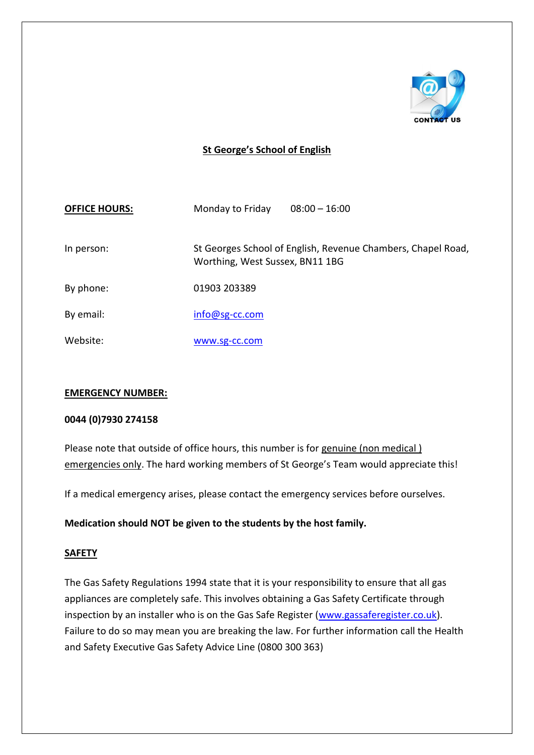

# **St George's School of English**

| <b>OFFICE HOURS:</b> | Monday to Friday | $08:00 - 16:00$                                                                                 |  |
|----------------------|------------------|-------------------------------------------------------------------------------------------------|--|
| In person:           |                  | St Georges School of English, Revenue Chambers, Chapel Road,<br>Worthing, West Sussex, BN11 1BG |  |
| By phone:            | 01903 203389     |                                                                                                 |  |
| By email:            | $info@sg-cc.com$ |                                                                                                 |  |
| Website:             | www.sg-cc.com    |                                                                                                 |  |

#### **EMERGENCY NUMBER:**

#### **0044 (0)7930 274158**

Please note that outside of office hours, this number is for genuine (non medical) emergencies only. The hard working members of St George's Team would appreciate this!

If a medical emergency arises, please contact the emergency services before ourselves.

#### **Medication should NOT be given to the students by the host family.**

#### **SAFETY**

The Gas Safety Regulations 1994 state that it is your responsibility to ensure that all gas appliances are completely safe. This involves obtaining a Gas Safety Certificate through inspection by an installer who is on the Gas Safe Register [\(www.gassaferegister.co.uk\)](http://www.gassaferegister.co.uk/). Failure to do so may mean you are breaking the law. For further information call the Health and Safety Executive Gas Safety Advice Line (0800 300 363)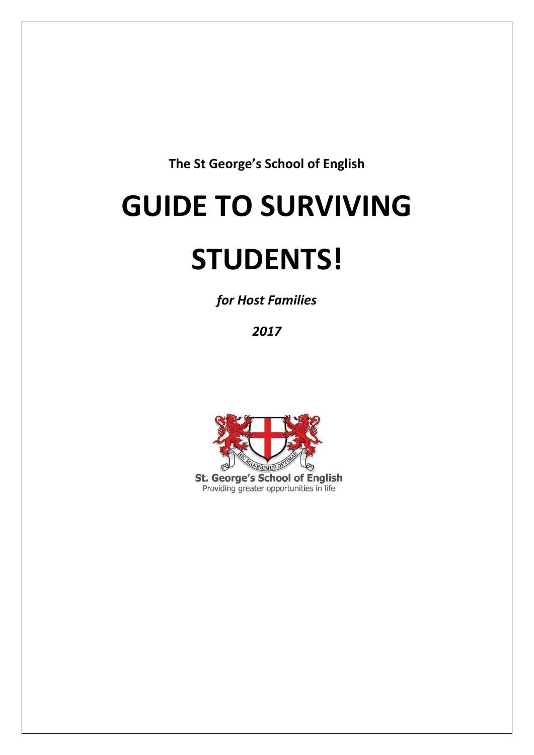**The St George's School of English**

# **GUIDE TO SURVIVING**

# **STUDENTS!**

*for Host Families*

*2017*



Providing greater opportunities in life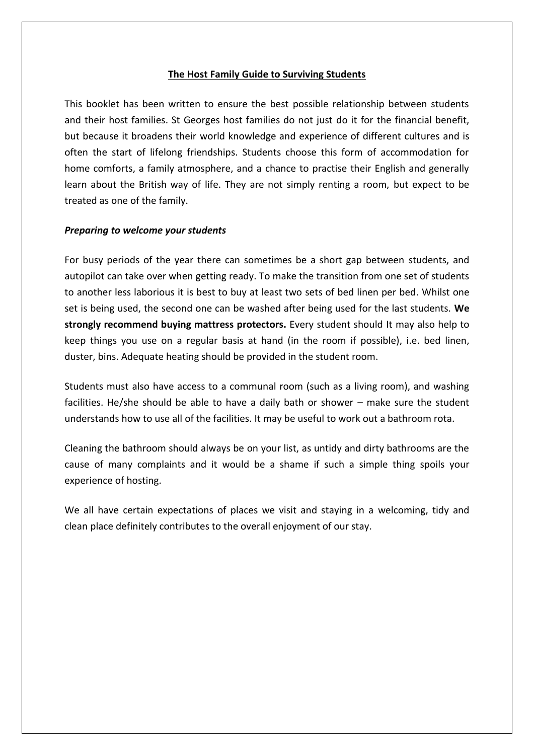#### **The Host Family Guide to Surviving Students**

This booklet has been written to ensure the best possible relationship between students and their host families. St Georges host families do not just do it for the financial benefit, but because it broadens their world knowledge and experience of different cultures and is often the start of lifelong friendships. Students choose this form of accommodation for home comforts, a family atmosphere, and a chance to practise their English and generally learn about the British way of life. They are not simply renting a room, but expect to be treated as one of the family.

#### *Preparing to welcome your students*

For busy periods of the year there can sometimes be a short gap between students, and autopilot can take over when getting ready. To make the transition from one set of students to another less laborious it is best to buy at least two sets of bed linen per bed. Whilst one set is being used, the second one can be washed after being used for the last students. **We strongly recommend buying mattress protectors.** Every student should It may also help to keep things you use on a regular basis at hand (in the room if possible), i.e. bed linen, duster, bins. Adequate heating should be provided in the student room.

Students must also have access to a communal room (such as a living room), and washing facilities. He/she should be able to have a daily bath or shower – make sure the student understands how to use all of the facilities. It may be useful to work out a bathroom rota.

Cleaning the bathroom should always be on your list, as untidy and dirty bathrooms are the cause of many complaints and it would be a shame if such a simple thing spoils your experience of hosting.

We all have certain expectations of places we visit and staying in a welcoming, tidy and clean place definitely contributes to the overall enjoyment of our stay.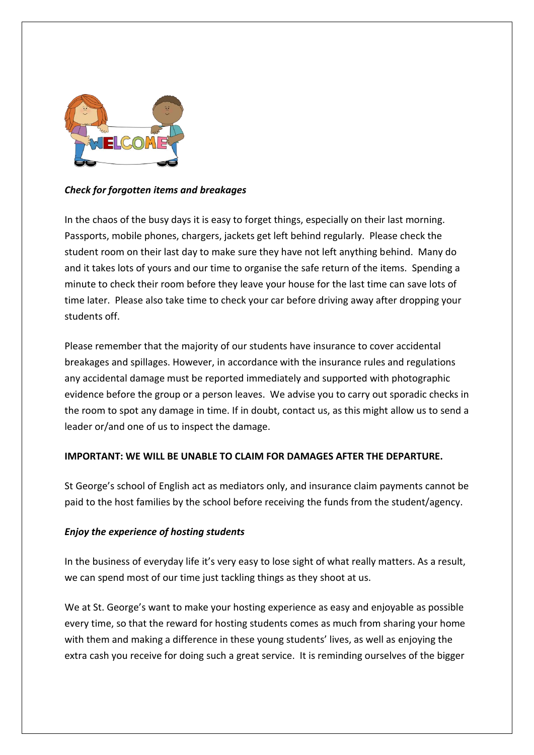

## *Check for forgotten items and breakages*

In the chaos of the busy days it is easy to forget things, especially on their last morning. Passports, mobile phones, chargers, jackets get left behind regularly. Please check the student room on their last day to make sure they have not left anything behind. Many do and it takes lots of yours and our time to organise the safe return of the items. Spending a minute to check their room before they leave your house for the last time can save lots of time later. Please also take time to check your car before driving away after dropping your students off.

Please remember that the majority of our students have insurance to cover accidental breakages and spillages. However, in accordance with the insurance rules and regulations any accidental damage must be reported immediately and supported with photographic evidence before the group or a person leaves. We advise you to carry out sporadic checks in the room to spot any damage in time. If in doubt, contact us, as this might allow us to send a leader or/and one of us to inspect the damage.

## **IMPORTANT: WE WILL BE UNABLE TO CLAIM FOR DAMAGES AFTER THE DEPARTURE.**

St George's school of English act as mediators only, and insurance claim payments cannot be paid to the host families by the school before receiving the funds from the student/agency.

## *Enjoy the experience of hosting students*

In the business of everyday life it's very easy to lose sight of what really matters. As a result, we can spend most of our time just tackling things as they shoot at us.

We at St. George's want to make your hosting experience as easy and enjoyable as possible every time, so that the reward for hosting students comes as much from sharing your home with them and making a difference in these young students' lives, as well as enjoying the extra cash you receive for doing such a great service. It is reminding ourselves of the bigger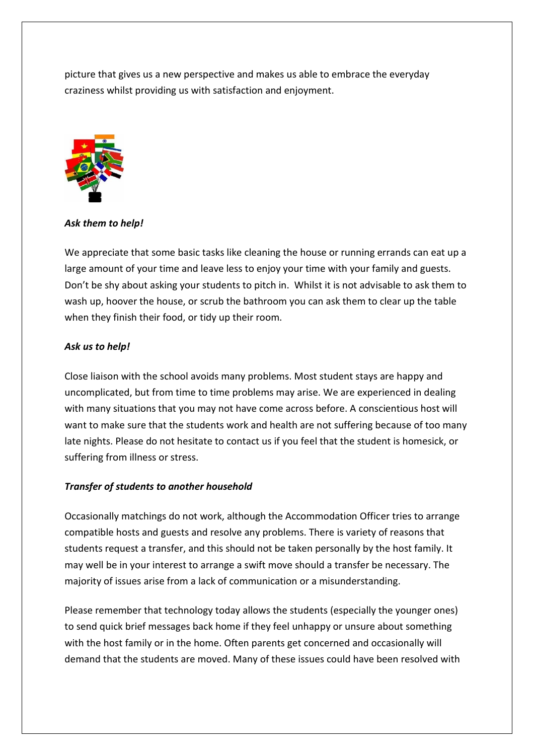picture that gives us a new perspective and makes us able to embrace the everyday craziness whilst providing us with satisfaction and enjoyment.



*Ask them to help!*

We appreciate that some basic tasks like cleaning the house or running errands can eat up a large amount of your time and leave less to enjoy your time with your family and guests. Don't be shy about asking your students to pitch in. Whilst it is not advisable to ask them to wash up, hoover the house, or scrub the bathroom you can ask them to clear up the table when they finish their food, or tidy up their room.

## *Ask us to help!*

Close liaison with the school avoids many problems. Most student stays are happy and uncomplicated, but from time to time problems may arise. We are experienced in dealing with many situations that you may not have come across before. A conscientious host will want to make sure that the students work and health are not suffering because of too many late nights. Please do not hesitate to contact us if you feel that the student is homesick, or suffering from illness or stress.

## *Transfer of students to another household*

Occasionally matchings do not work, although the Accommodation Officer tries to arrange compatible hosts and guests and resolve any problems. There is variety of reasons that students request a transfer, and this should not be taken personally by the host family. It may well be in your interest to arrange a swift move should a transfer be necessary. The majority of issues arise from a lack of communication or a misunderstanding.

Please remember that technology today allows the students (especially the younger ones) to send quick brief messages back home if they feel unhappy or unsure about something with the host family or in the home. Often parents get concerned and occasionally will demand that the students are moved. Many of these issues could have been resolved with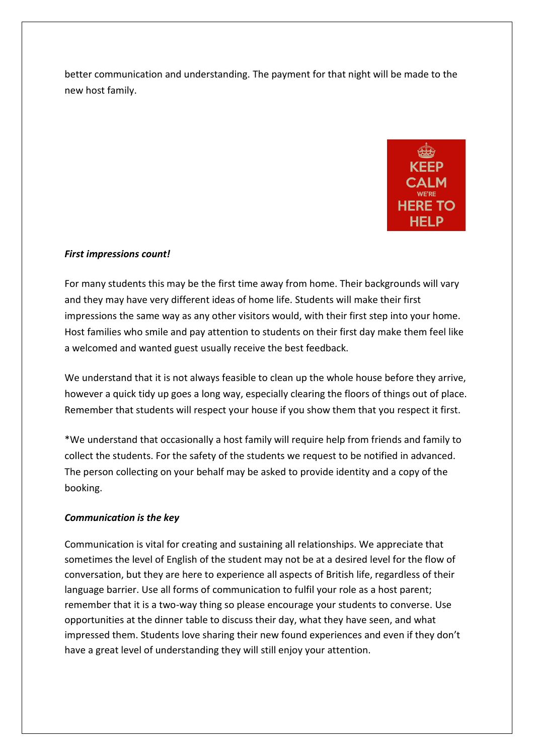better communication and understanding. The payment for that night will be made to the new host family.



## *First impressions count!*

For many students this may be the first time away from home. Their backgrounds will vary and they may have very different ideas of home life. Students will make their first impressions the same way as any other visitors would, with their first step into your home. Host families who smile and pay attention to students on their first day make them feel like a welcomed and wanted guest usually receive the best feedback.

We understand that it is not always feasible to clean up the whole house before they arrive, however a quick tidy up goes a long way, especially clearing the floors of things out of place. Remember that students will respect your house if you show them that you respect it first.

\*We understand that occasionally a host family will require help from friends and family to collect the students. For the safety of the students we request to be notified in advanced. The person collecting on your behalf may be asked to provide identity and a copy of the booking.

## *Communication is the key*

Communication is vital for creating and sustaining all relationships. We appreciate that sometimes the level of English of the student may not be at a desired level for the flow of conversation, but they are here to experience all aspects of British life, regardless of their language barrier. Use all forms of communication to fulfil your role as a host parent; remember that it is a two-way thing so please encourage your students to converse. Use opportunities at the dinner table to discuss their day, what they have seen, and what impressed them. Students love sharing their new found experiences and even if they don't have a great level of understanding they will still enjoy your attention.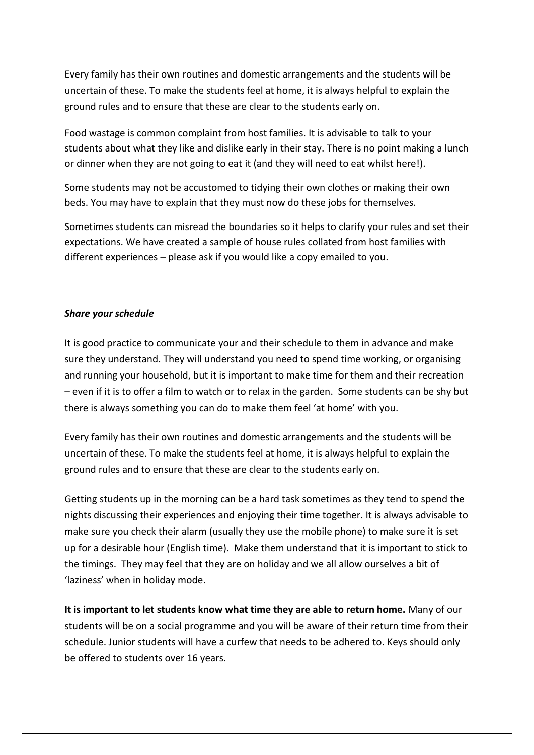Every family has their own routines and domestic arrangements and the students will be uncertain of these. To make the students feel at home, it is always helpful to explain the ground rules and to ensure that these are clear to the students early on.

Food wastage is common complaint from host families. It is advisable to talk to your students about what they like and dislike early in their stay. There is no point making a lunch or dinner when they are not going to eat it (and they will need to eat whilst here!).

Some students may not be accustomed to tidying their own clothes or making their own beds. You may have to explain that they must now do these jobs for themselves.

Sometimes students can misread the boundaries so it helps to clarify your rules and set their expectations. We have created a sample of house rules collated from host families with different experiences – please ask if you would like a copy emailed to you.

### *Share your schedule*

It is good practice to communicate your and their schedule to them in advance and make sure they understand. They will understand you need to spend time working, or organising and running your household, but it is important to make time for them and their recreation – even if it is to offer a film to watch or to relax in the garden. Some students can be shy but there is always something you can do to make them feel 'at home' with you.

Every family has their own routines and domestic arrangements and the students will be uncertain of these. To make the students feel at home, it is always helpful to explain the ground rules and to ensure that these are clear to the students early on.

Getting students up in the morning can be a hard task sometimes as they tend to spend the nights discussing their experiences and enjoying their time together. It is always advisable to make sure you check their alarm (usually they use the mobile phone) to make sure it is set up for a desirable hour (English time). Make them understand that it is important to stick to the timings. They may feel that they are on holiday and we all allow ourselves a bit of 'laziness' when in holiday mode.

**It is important to let students know what time they are able to return home.** Many of our students will be on a social programme and you will be aware of their return time from their schedule. Junior students will have a curfew that needs to be adhered to. Keys should only be offered to students over 16 years.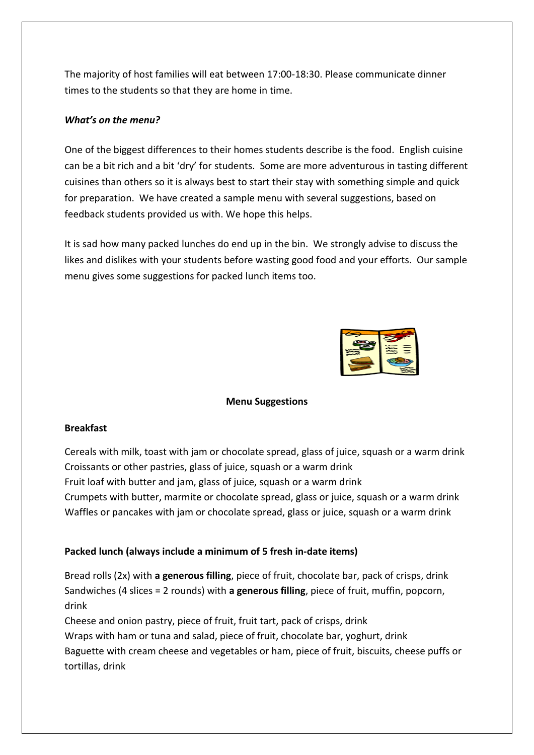The majority of host families will eat between 17:00-18:30. Please communicate dinner times to the students so that they are home in time.

## *What's on the menu?*

One of the biggest differences to their homes students describe is the food. English cuisine can be a bit rich and a bit 'dry' for students. Some are more adventurous in tasting different cuisines than others so it is always best to start their stay with something simple and quick for preparation. We have created a sample menu with several suggestions, based on feedback students provided us with. We hope this helps.

It is sad how many packed lunches do end up in the bin. We strongly advise to discuss the likes and dislikes with your students before wasting good food and your efforts. Our sample menu gives some suggestions for packed lunch items too.



#### **Menu Suggestions**

#### **Breakfast**

Cereals with milk, toast with jam or chocolate spread, glass of juice, squash or a warm drink Croissants or other pastries, glass of juice, squash or a warm drink Fruit loaf with butter and jam, glass of juice, squash or a warm drink Crumpets with butter, marmite or chocolate spread, glass or juice, squash or a warm drink Waffles or pancakes with jam or chocolate spread, glass or juice, squash or a warm drink

## **Packed lunch (always include a minimum of 5 fresh in-date items)**

Bread rolls (2x) with **a generous filling**, piece of fruit, chocolate bar, pack of crisps, drink Sandwiches (4 slices = 2 rounds) with **a generous filling**, piece of fruit, muffin, popcorn, drink

Cheese and onion pastry, piece of fruit, fruit tart, pack of crisps, drink Wraps with ham or tuna and salad, piece of fruit, chocolate bar, yoghurt, drink Baguette with cream cheese and vegetables or ham, piece of fruit, biscuits, cheese puffs or tortillas, drink